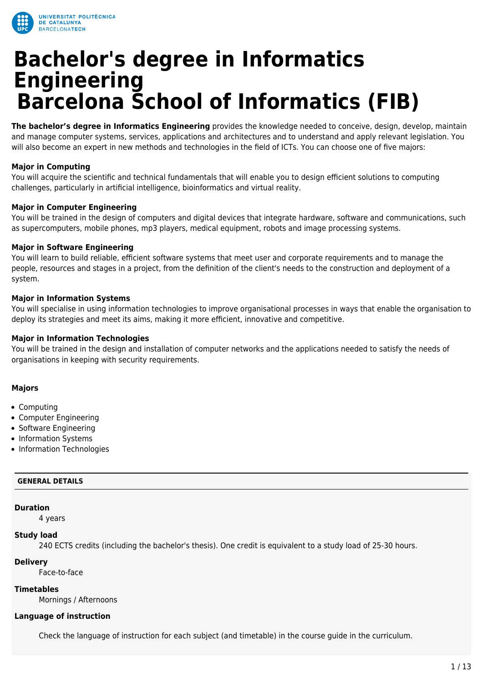

# **Bachelor's degree in Informatics Engineering Barcelona School of Informatics (FIB)**

**The bachelor's degree in Informatics Engineering** provides the knowledge needed to conceive, design, develop, maintain and manage computer systems, services, applications and architectures and to understand and apply relevant legislation. You will also become an expert in new methods and technologies in the field of ICTs. You can choose one of five majors:

# **Major in Computing**

You will acquire the scientific and technical fundamentals that will enable you to design efficient solutions to computing challenges, particularly in artificial intelligence, bioinformatics and virtual reality.

# **Major in Computer Engineering**

You will be trained in the design of computers and digital devices that integrate hardware, software and communications, such as supercomputers, mobile phones, mp3 players, medical equipment, robots and image processing systems.

# **Major in Software Engineering**

You will learn to build reliable, efficient software systems that meet user and corporate requirements and to manage the people, resources and stages in a project, from the definition of the client's needs to the construction and deployment of a system.

# **Major in Information Systems**

You will specialise in using information technologies to improve organisational processes in ways that enable the organisation to deploy its strategies and meet its aims, making it more efficient, innovative and competitive.

# **Major in Information Technologies**

You will be trained in the design and installation of computer networks and the applications needed to satisfy the needs of organisations in keeping with security requirements.

# **Majors**

- Computing
- Computer Engineering
- Software Engineering
- Information Systems
- Information Technologies

## **GENERAL DETAILS**

## **Duration**

4 years

## **Study load**

240 ECTS credits (including the bachelor's thesis). One credit is equivalent to a study load of 25-30 hours.

## **Delivery**

Face-to-face

# **Timetables**

Mornings / Afternoons

## **Language of instruction**

Check the language of instruction for each subject (and timetable) in the course guide in the curriculum.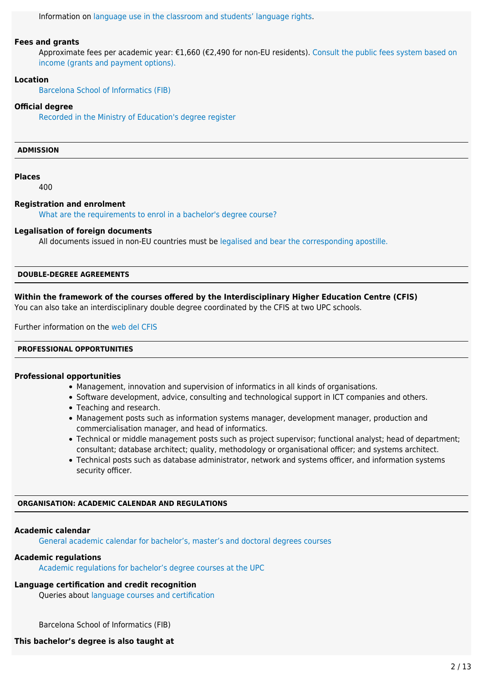Information on [language use in the classroom and students' language rights](https://www.upc.edu/slt/en/upc-language-policy/language-uses-rights/language-uses-rights-upc?set_language=en).

#### **Fees and grants**

Approximate fees per academic year: €1,660 (€2,490 for non-EU residents). [Consult the public fees system based on](https://upc.edu/en/bachelors/fees-grants-and-payment-options) [income \(grants and payment options\).](https://upc.edu/en/bachelors/fees-grants-and-payment-options)

## **Location**

[Barcelona School of Informatics \(FIB\)](https://upc.edu/en/the-upc/schools/fib)

#### **Official degree**

[Recorded in the Ministry of Education's degree register](https://www.educacion.gob.es/ruct/estudio.action?codigoCiclo=SC&codigoTipo=M&CodigoEstudio=2501996)

## **ADMISSION**

#### **Places**

400

#### **Registration and enrolment**

[What are the requirements to enrol in a bachelor's degree course?](https://upc.edu/en/bachelors/access-and-admission)

## **Legalisation of foreign documents**

All documents issued in non-EU countries must be [legalised and bear the corresponding apostille.](https://www.upc.edu/sga/es/expedientes/LegDoc)

## **DOUBLE-DEGREE AGREEMENTS**

## **Within the framework of the courses offered by the Interdisciplinary Higher Education Centre (CFIS)**

You can also take an interdisciplinary double degree coordinated by the CFIS at two UPC schools.

Further information on the [web del CFIS](http://www.cfis.upc.edu/ca/els-estudis/els-estudis?set_language=es)

## **PROFESSIONAL OPPORTUNITIES**

#### **Professional opportunities**

- Management, innovation and supervision of informatics in all kinds of organisations.
- Software development, advice, consulting and technological support in ICT companies and others.
- Teaching and research.
- Management posts such as information systems manager, development manager, production and commercialisation manager, and head of informatics.
- Technical or middle management posts such as project supervisor; functional analyst; head of department; consultant; database architect; quality, methodology or organisational officer; and systems architect.
- Technical posts such as database administrator, network and systems officer, and information systems security officer.

#### **ORGANISATION: ACADEMIC CALENDAR AND REGULATIONS**

#### **Academic calendar**

[General academic calendar for bachelor's, master's and doctoral degrees courses](https://www.upc.edu/en/bachelors/academic-calendar-and-academic-regulations)

#### **Academic regulations**

[Academic regulations for bachelor's degree courses at the UPC](https://www.upc.edu/sga/ca/shared/fitxers-normatives/AcademicRegulations_EN/NAGRAMA/nagrama-18-19_en_definitiva.pdf)

# **Language certification and credit recognition**

Queries about [language courses and certification](https://www.upc.edu/slt/en/certify)

Barcelona School of Informatics (FIB)

# **This bachelor's degree is also taught at**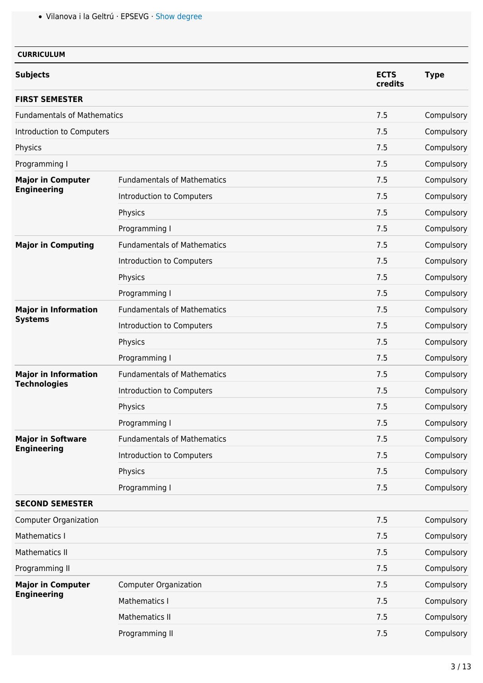Vilanova i la Geltrú · EPSEVG · [Show degree](https://upc.edu/en/bachelors/informatics-engineering-vilanova-i-la-geltru-epsevg)

|                                                                                                                                                                                                                                                                                                                                          |                                    | <b>ECTS</b><br>credits                                                                  | <b>Type</b> |
|------------------------------------------------------------------------------------------------------------------------------------------------------------------------------------------------------------------------------------------------------------------------------------------------------------------------------------------|------------------------------------|-----------------------------------------------------------------------------------------|-------------|
|                                                                                                                                                                                                                                                                                                                                          |                                    |                                                                                         |             |
|                                                                                                                                                                                                                                                                                                                                          |                                    | 7.5                                                                                     | Compulsory  |
| Introduction to Computers                                                                                                                                                                                                                                                                                                                |                                    | 7.5                                                                                     | Compulsory  |
|                                                                                                                                                                                                                                                                                                                                          |                                    | 7.5                                                                                     | Compulsory  |
|                                                                                                                                                                                                                                                                                                                                          |                                    | 7.5                                                                                     | Compulsory  |
|                                                                                                                                                                                                                                                                                                                                          | <b>Fundamentals of Mathematics</b> | 7.5                                                                                     | Compulsory  |
|                                                                                                                                                                                                                                                                                                                                          | Introduction to Computers          | 7.5                                                                                     | Compulsory  |
|                                                                                                                                                                                                                                                                                                                                          | Physics                            | 7.5                                                                                     | Compulsory  |
|                                                                                                                                                                                                                                                                                                                                          | Programming I                      | 7.5                                                                                     | Compulsory  |
|                                                                                                                                                                                                                                                                                                                                          | <b>Fundamentals of Mathematics</b> | 7.5                                                                                     | Compulsory  |
|                                                                                                                                                                                                                                                                                                                                          | Introduction to Computers          | 7.5                                                                                     | Compulsory  |
|                                                                                                                                                                                                                                                                                                                                          | Physics                            | 7.5                                                                                     | Compulsory  |
|                                                                                                                                                                                                                                                                                                                                          | Programming I                      | 7.5                                                                                     | Compulsory  |
|                                                                                                                                                                                                                                                                                                                                          | <b>Fundamentals of Mathematics</b> | 7.5                                                                                     | Compulsory  |
|                                                                                                                                                                                                                                                                                                                                          | Introduction to Computers          | 7.5                                                                                     | Compulsory  |
|                                                                                                                                                                                                                                                                                                                                          | Physics                            | 7.5                                                                                     | Compulsory  |
|                                                                                                                                                                                                                                                                                                                                          | Programming I                      | 7.5                                                                                     | Compulsory  |
| <b>Major in Computer</b><br><b>Engineering</b><br><b>Major in Computing</b><br><b>Major in Information</b><br><b>Systems</b><br><b>Major in Information</b><br><b>Technologies</b><br><b>Major in Software</b><br><b>Engineering</b><br><b>SECOND SEMESTER</b><br><b>Computer Organization</b><br>Mathematics I<br><b>Mathematics II</b> | <b>Fundamentals of Mathematics</b> | 7.5                                                                                     | Compulsory  |
|                                                                                                                                                                                                                                                                                                                                          | Introduction to Computers          | 7.5                                                                                     | Compulsory  |
|                                                                                                                                                                                                                                                                                                                                          | Physics                            | 7.5                                                                                     | Compulsory  |
|                                                                                                                                                                                                                                                                                                                                          | Programming I                      | 7.5<br>7.5<br>7.5<br>7.5<br>7.5<br>7.5<br>7.5<br>7.5<br>7.5<br>7.5<br>7.5<br>7.5<br>7.5 | Compulsory  |
|                                                                                                                                                                                                                                                                                                                                          | <b>Fundamentals of Mathematics</b> |                                                                                         | Compulsory  |
|                                                                                                                                                                                                                                                                                                                                          | Introduction to Computers          |                                                                                         | Compulsory  |
| <b>Fundamentals of Mathematics</b>                                                                                                                                                                                                                                                                                                       | Physics                            |                                                                                         | Compulsory  |
| <b>Subjects</b><br><b>FIRST SEMESTER</b><br>Physics<br>Programming I<br>Programming II<br><b>Major in Computer</b><br><b>Engineering</b>                                                                                                                                                                                                 | Programming I                      |                                                                                         | Compulsory  |
|                                                                                                                                                                                                                                                                                                                                          |                                    |                                                                                         |             |
|                                                                                                                                                                                                                                                                                                                                          |                                    |                                                                                         | Compulsory  |
|                                                                                                                                                                                                                                                                                                                                          |                                    |                                                                                         | Compulsory  |
|                                                                                                                                                                                                                                                                                                                                          |                                    |                                                                                         | Compulsory  |
|                                                                                                                                                                                                                                                                                                                                          |                                    |                                                                                         | Compulsory  |
|                                                                                                                                                                                                                                                                                                                                          | <b>Computer Organization</b>       |                                                                                         | Compulsory  |
|                                                                                                                                                                                                                                                                                                                                          | Mathematics I                      |                                                                                         | Compulsory  |
|                                                                                                                                                                                                                                                                                                                                          | <b>Mathematics II</b>              |                                                                                         | Compulsory  |
|                                                                                                                                                                                                                                                                                                                                          | Programming II                     |                                                                                         | Compulsory  |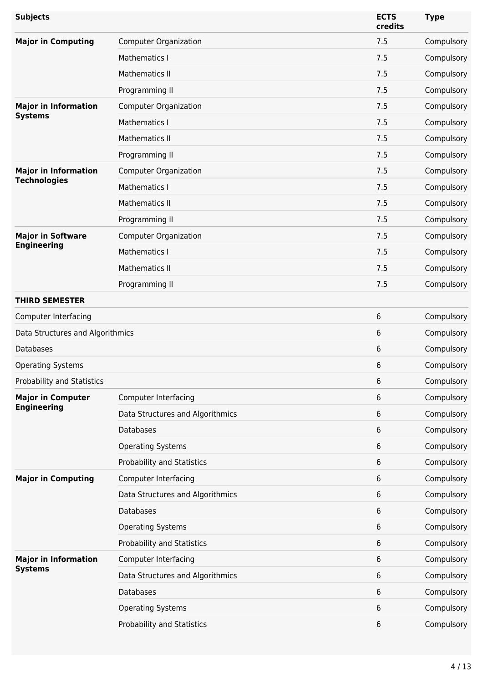| <b>Subjects</b>                  |                                  | <b>ECTS</b><br>credits | <b>Type</b> |
|----------------------------------|----------------------------------|------------------------|-------------|
| <b>Major in Computing</b>        | <b>Computer Organization</b>     | 7.5                    | Compulsory  |
|                                  | Mathematics I                    | 7.5                    | Compulsory  |
|                                  | <b>Mathematics II</b>            | 7.5                    | Compulsory  |
|                                  | Programming II                   | 7.5                    | Compulsory  |
| <b>Major in Information</b>      | <b>Computer Organization</b>     | 7.5                    | Compulsory  |
| <b>Systems</b>                   | Mathematics I                    | 7.5                    | Compulsory  |
|                                  | Mathematics II                   | 7.5                    | Compulsory  |
|                                  | Programming II                   | 7.5                    | Compulsory  |
| <b>Major in Information</b>      | <b>Computer Organization</b>     | 7.5                    | Compulsory  |
| <b>Technologies</b>              | <b>Mathematics I</b>             | 7.5                    | Compulsory  |
|                                  | <b>Mathematics II</b>            | 7.5                    | Compulsory  |
|                                  | Programming II                   | 7.5                    | Compulsory  |
| <b>Major in Software</b>         | <b>Computer Organization</b>     | 7.5                    | Compulsory  |
| <b>Engineering</b>               | Mathematics I                    | 7.5                    | Compulsory  |
|                                  | <b>Mathematics II</b>            | 7.5                    | Compulsory  |
|                                  | Programming II                   | 7.5                    | Compulsory  |
| <b>THIRD SEMESTER</b>            |                                  |                        |             |
| <b>Computer Interfacing</b>      |                                  | 6                      | Compulsory  |
| Data Structures and Algorithmics |                                  | 6                      | Compulsory  |
| <b>Databases</b>                 |                                  | 6                      | Compulsory  |
| <b>Operating Systems</b>         |                                  | 6                      | Compulsory  |
| Probability and Statistics       |                                  | 6                      | Compulsory  |
| <b>Major in Computer</b>         | <b>Computer Interfacing</b>      | 6                      | Compulsory  |
| <b>Engineering</b>               | Data Structures and Algorithmics | 6                      | Compulsory  |
|                                  | Databases                        | 6                      | Compulsory  |
|                                  | <b>Operating Systems</b>         | 6                      | Compulsory  |
|                                  | Probability and Statistics       | 6                      | Compulsory  |
| <b>Major in Computing</b>        | <b>Computer Interfacing</b>      | 6                      | Compulsory  |
|                                  | Data Structures and Algorithmics | 6                      | Compulsory  |
|                                  | <b>Databases</b>                 | 6                      | Compulsory  |
|                                  | <b>Operating Systems</b>         | 6                      | Compulsory  |
|                                  | Probability and Statistics       | 6                      | Compulsory  |
| <b>Major in Information</b>      | <b>Computer Interfacing</b>      | 6                      | Compulsory  |
| <b>Systems</b>                   | Data Structures and Algorithmics | 6                      | Compulsory  |
|                                  | <b>Databases</b>                 | 6                      | Compulsory  |
|                                  | <b>Operating Systems</b>         | 6                      | Compulsory  |
|                                  | Probability and Statistics       | 6                      | Compulsory  |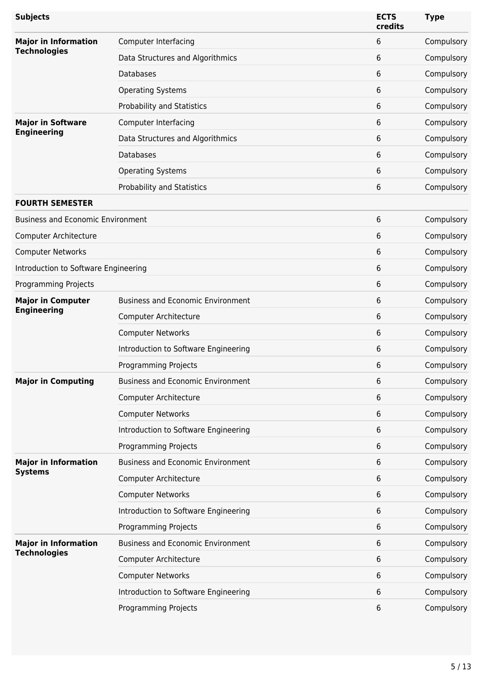| <b>Subjects</b>                                |                                          | <b>ECTS</b><br>credits                                                  | <b>Type</b> |
|------------------------------------------------|------------------------------------------|-------------------------------------------------------------------------|-------------|
| <b>Major in Information</b>                    | Computer Interfacing                     | 6                                                                       | Compulsory  |
| <b>Technologies</b>                            | Data Structures and Algorithmics         | 6                                                                       | Compulsory  |
|                                                | <b>Databases</b>                         | 6                                                                       | Compulsory  |
|                                                | <b>Operating Systems</b>                 | 6                                                                       | Compulsory  |
|                                                | Probability and Statistics               | 6                                                                       | Compulsory  |
| <b>Major in Software</b>                       | <b>Computer Interfacing</b>              | 6                                                                       | Compulsory  |
| <b>Engineering</b>                             | Data Structures and Algorithmics         | 6                                                                       | Compulsory  |
|                                                | <b>Databases</b>                         | 6                                                                       | Compulsory  |
|                                                | <b>Operating Systems</b>                 | 6                                                                       | Compulsory  |
|                                                | Probability and Statistics               | 6                                                                       | Compulsory  |
| <b>FOURTH SEMESTER</b>                         |                                          |                                                                         |             |
| <b>Business and Economic Environment</b>       |                                          | 6                                                                       | Compulsory  |
| Computer Architecture                          |                                          | 6                                                                       | Compulsory  |
| <b>Computer Networks</b>                       |                                          | 6                                                                       | Compulsory  |
| Introduction to Software Engineering           |                                          | 6                                                                       | Compulsory  |
| Programming Projects                           |                                          | 6                                                                       | Compulsory  |
| <b>Major in Computer</b><br><b>Engineering</b> | <b>Business and Economic Environment</b> | 6                                                                       | Compulsory  |
|                                                | Computer Architecture                    | 6                                                                       | Compulsory  |
|                                                | <b>Computer Networks</b>                 | 6                                                                       | Compulsory  |
|                                                | Introduction to Software Engineering     | 6                                                                       | Compulsory  |
|                                                | <b>Programming Projects</b>              | 6                                                                       | Compulsory  |
| <b>Major in Computing</b>                      | <b>Business and Economic Environment</b> | 6<br>6<br>6<br>6<br>6<br>6<br>6<br>6<br>6<br>6<br>6<br>6<br>6<br>6<br>6 | Compulsory  |
| <b>Major in Information</b>                    | Computer Architecture                    |                                                                         | Compulsory  |
|                                                | <b>Computer Networks</b>                 |                                                                         | Compulsory  |
|                                                | Introduction to Software Engineering     |                                                                         | Compulsory  |
|                                                | <b>Programming Projects</b>              |                                                                         | Compulsory  |
|                                                | <b>Business and Economic Environment</b> |                                                                         | Compulsory  |
| <b>Systems</b>                                 | Computer Architecture                    |                                                                         | Compulsory  |
|                                                | <b>Computer Networks</b>                 |                                                                         | Compulsory  |
|                                                | Introduction to Software Engineering     |                                                                         | Compulsory  |
|                                                | Programming Projects                     |                                                                         | Compulsory  |
| <b>Major in Information</b>                    | <b>Business and Economic Environment</b> |                                                                         | Compulsory  |
| <b>Technologies</b>                            | Computer Architecture                    |                                                                         | Compulsory  |
|                                                | <b>Computer Networks</b>                 |                                                                         | Compulsory  |
|                                                | Introduction to Software Engineering     |                                                                         | Compulsory  |
|                                                | Programming Projects                     |                                                                         | Compulsory  |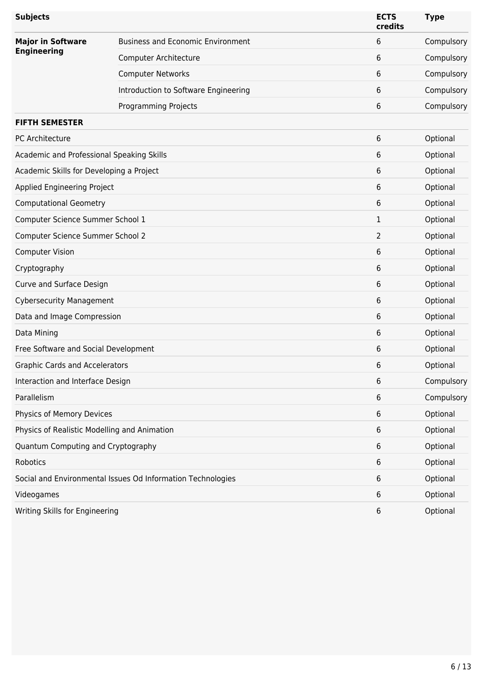| <b>Subjects</b>                              |                                                             | <b>ECTS</b><br>credits | <b>Type</b> |
|----------------------------------------------|-------------------------------------------------------------|------------------------|-------------|
| <b>Major in Software</b>                     | <b>Business and Economic Environment</b>                    | 6                      | Compulsory  |
| <b>Engineering</b>                           | Computer Architecture                                       | 6                      | Compulsory  |
|                                              | <b>Computer Networks</b>                                    | 6                      | Compulsory  |
|                                              | Introduction to Software Engineering                        | 6                      | Compulsory  |
|                                              | <b>Programming Projects</b>                                 | 6                      | Compulsory  |
| <b>FIFTH SEMESTER</b>                        |                                                             |                        |             |
| PC Architecture                              |                                                             | 6                      | Optional    |
| Academic and Professional Speaking Skills    |                                                             | 6                      | Optional    |
| Academic Skills for Developing a Project     |                                                             | 6                      | Optional    |
| Applied Engineering Project                  |                                                             | 6                      | Optional    |
| <b>Computational Geometry</b>                |                                                             | 6                      | Optional    |
| Computer Science Summer School 1             |                                                             | 1                      | Optional    |
| Computer Science Summer School 2             |                                                             | 2                      | Optional    |
| <b>Computer Vision</b>                       |                                                             | 6                      | Optional    |
| Cryptography                                 |                                                             | 6                      | Optional    |
| Curve and Surface Design                     |                                                             | 6                      | Optional    |
| <b>Cybersecurity Management</b>              |                                                             | 6                      | Optional    |
| Data and Image Compression                   |                                                             | 6                      | Optional    |
| Data Mining                                  |                                                             | 6                      | Optional    |
| Free Software and Social Development         |                                                             | 6                      | Optional    |
| <b>Graphic Cards and Accelerators</b>        |                                                             | 6                      | Optional    |
| Interaction and Interface Design             |                                                             | 6                      | Compulsory  |
| Parallelism                                  |                                                             | 6                      | Compulsory  |
| Physics of Memory Devices                    |                                                             | 6                      | Optional    |
| Physics of Realistic Modelling and Animation |                                                             | 6                      | Optional    |
| Quantum Computing and Cryptography           |                                                             | 6                      | Optional    |
| Robotics                                     |                                                             | 6                      | Optional    |
|                                              | Social and Environmental Issues Od Information Technologies | 6                      | Optional    |
| Videogames                                   |                                                             | 6                      | Optional    |
| Writing Skills for Engineering               |                                                             | 6                      | Optional    |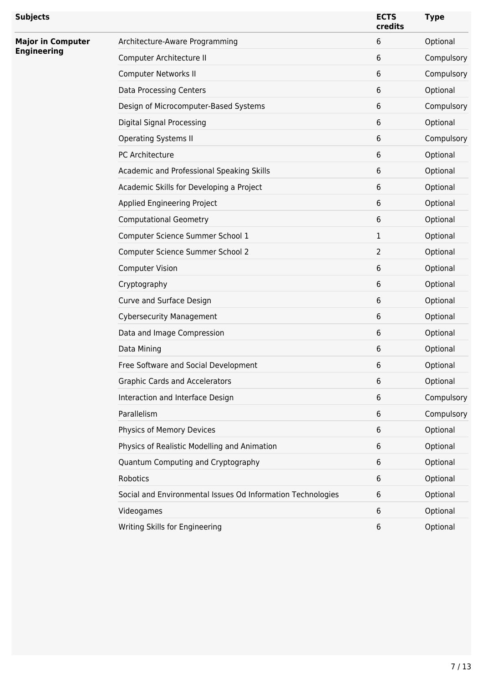| <b>Subjects</b>                                |                                                             | <b>ECTS</b><br>credits | <b>Type</b> |
|------------------------------------------------|-------------------------------------------------------------|------------------------|-------------|
| <b>Major in Computer</b><br><b>Engineering</b> | Architecture-Aware Programming                              | 6                      | Optional    |
|                                                | Computer Architecture II                                    | 6                      | Compulsory  |
|                                                | Computer Networks II                                        | 6                      | Compulsory  |
|                                                | Data Processing Centers                                     | 6                      | Optional    |
|                                                | Design of Microcomputer-Based Systems                       | 6                      | Compulsory  |
|                                                | <b>Digital Signal Processing</b>                            | 6                      | Optional    |
|                                                | <b>Operating Systems II</b>                                 | 6                      | Compulsory  |
|                                                | PC Architecture                                             | 6                      | Optional    |
|                                                | Academic and Professional Speaking Skills                   | 6                      | Optional    |
|                                                | Academic Skills for Developing a Project                    | 6                      | Optional    |
|                                                | Applied Engineering Project                                 | 6                      | Optional    |
|                                                | <b>Computational Geometry</b>                               | 6                      | Optional    |
|                                                | Computer Science Summer School 1                            | 1                      | Optional    |
|                                                | Computer Science Summer School 2                            | $\overline{2}$         | Optional    |
|                                                | <b>Computer Vision</b>                                      | 6                      | Optional    |
|                                                | Cryptography                                                | 6                      | Optional    |
|                                                | Curve and Surface Design                                    | 6                      | Optional    |
|                                                | <b>Cybersecurity Management</b>                             | 6                      | Optional    |
|                                                | Data and Image Compression                                  | 6                      | Optional    |
|                                                | Data Mining                                                 | 6                      | Optional    |
|                                                | Free Software and Social Development                        | 6                      | Optional    |
|                                                | <b>Graphic Cards and Accelerators</b>                       | 6                      | Optional    |
|                                                | Interaction and Interface Design                            | 6                      | Compulsory  |
|                                                | Parallelism                                                 | 6                      | Compulsory  |
|                                                | Physics of Memory Devices                                   | 6                      | Optional    |
|                                                | Physics of Realistic Modelling and Animation                | 6                      | Optional    |
|                                                | Quantum Computing and Cryptography                          | 6                      | Optional    |
|                                                | Robotics                                                    | 6                      | Optional    |
|                                                | Social and Environmental Issues Od Information Technologies | 6                      | Optional    |
|                                                | Videogames                                                  | 6                      | Optional    |
|                                                | Writing Skills for Engineering                              | 6                      | Optional    |
|                                                |                                                             |                        |             |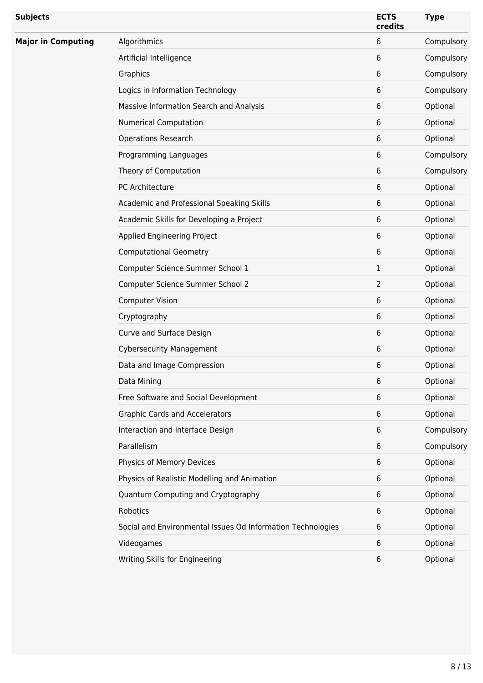| <b>Subjects</b>           |                                                             | <b>ECTS</b><br>credits | <b>Type</b> |
|---------------------------|-------------------------------------------------------------|------------------------|-------------|
| <b>Major in Computing</b> | Algorithmics                                                | 6                      | Compulsory  |
|                           | Artificial Intelligence                                     | 6                      | Compulsory  |
|                           | Graphics                                                    | 6                      | Compulsory  |
|                           | Logics in Information Technology                            | 6                      | Compulsory  |
|                           | Massive Information Search and Analysis                     | 6                      | Optional    |
|                           | <b>Numerical Computation</b>                                | 6                      | Optional    |
|                           | <b>Operations Research</b>                                  | 6                      | Optional    |
|                           | Programming Languages                                       | 6                      | Compulsory  |
|                           | Theory of Computation                                       | 6                      | Compulsory  |
|                           | PC Architecture                                             | 6                      | Optional    |
|                           | Academic and Professional Speaking Skills                   | 6                      | Optional    |
|                           | Academic Skills for Developing a Project                    | 6                      | Optional    |
|                           | Applied Engineering Project                                 | 6                      | Optional    |
|                           | <b>Computational Geometry</b>                               | 6                      | Optional    |
|                           | Computer Science Summer School 1                            | 1                      | Optional    |
|                           | Computer Science Summer School 2                            | $\overline{2}$         | Optional    |
|                           | <b>Computer Vision</b>                                      | 6                      | Optional    |
|                           | Cryptography                                                | 6                      | Optional    |
|                           | Curve and Surface Design                                    | 6                      | Optional    |
|                           | <b>Cybersecurity Management</b>                             | 6                      | Optional    |
|                           | Data and Image Compression                                  | 6                      | Optional    |
|                           | Data Mining                                                 | 6                      | Optional    |
|                           | Free Software and Social Development                        | 6                      | Optional    |
|                           | <b>Graphic Cards and Accelerators</b>                       | 6                      | Optional    |
|                           | Interaction and Interface Design                            | 6                      | Compulsory  |
|                           | Parallelism                                                 | 6                      | Compulsory  |
|                           | Physics of Memory Devices                                   | 6                      | Optional    |
|                           | Physics of Realistic Modelling and Animation                | 6                      | Optional    |
|                           | Quantum Computing and Cryptography                          | 6                      | Optional    |
|                           | Robotics                                                    | 6                      | Optional    |
|                           | Social and Environmental Issues Od Information Technologies | 6                      | Optional    |
|                           | Videogames                                                  | 6                      | Optional    |
|                           | Writing Skills for Engineering                              | 6                      | Optional    |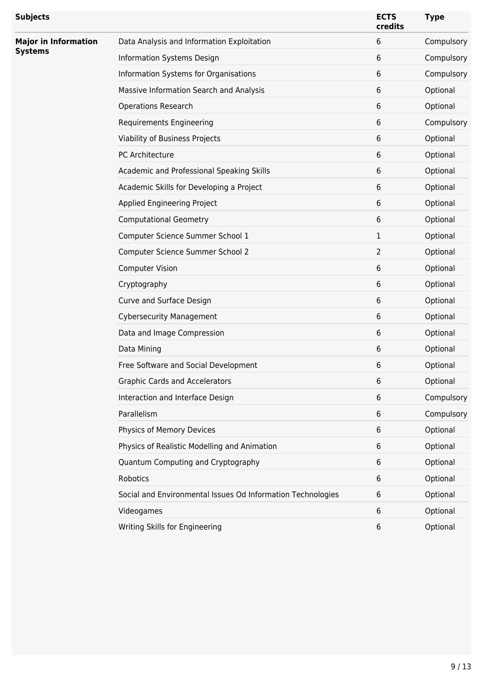| <b>Subjects</b>                               |                                                             | <b>ECTS</b><br>credits | <b>Type</b> |
|-----------------------------------------------|-------------------------------------------------------------|------------------------|-------------|
| <b>Major in Information</b><br><b>Systems</b> | Data Analysis and Information Exploitation                  | 6                      | Compulsory  |
|                                               | Information Systems Design                                  | 6                      | Compulsory  |
|                                               | Information Systems for Organisations                       | 6                      | Compulsory  |
|                                               | Massive Information Search and Analysis                     | 6                      | Optional    |
|                                               | <b>Operations Research</b>                                  | 6                      | Optional    |
|                                               | <b>Requirements Engineering</b>                             | 6                      | Compulsory  |
|                                               | Viability of Business Projects                              | 6                      | Optional    |
|                                               | PC Architecture                                             | 6                      | Optional    |
|                                               | Academic and Professional Speaking Skills                   | 6                      | Optional    |
|                                               | Academic Skills for Developing a Project                    | 6                      | Optional    |
|                                               | Applied Engineering Project                                 | 6                      | Optional    |
|                                               | <b>Computational Geometry</b>                               | 6                      | Optional    |
|                                               | Computer Science Summer School 1                            | $\mathbf 1$            | Optional    |
|                                               | Computer Science Summer School 2                            | 2                      | Optional    |
|                                               | <b>Computer Vision</b>                                      | 6                      | Optional    |
|                                               | Cryptography                                                | 6                      | Optional    |
|                                               | Curve and Surface Design                                    | 6                      | Optional    |
|                                               | <b>Cybersecurity Management</b>                             | 6                      | Optional    |
|                                               | Data and Image Compression                                  | 6                      | Optional    |
|                                               | Data Mining                                                 | 6                      | Optional    |
|                                               | Free Software and Social Development                        | 6                      | Optional    |
|                                               | <b>Graphic Cards and Accelerators</b>                       | 6                      | Optional    |
|                                               | Interaction and Interface Design                            | 6                      | Compulsory  |
|                                               | Parallelism                                                 | 6                      | Compulsory  |
|                                               | Physics of Memory Devices                                   | 6                      | Optional    |
|                                               | Physics of Realistic Modelling and Animation                | 6                      | Optional    |
|                                               | Quantum Computing and Cryptography                          | 6                      | Optional    |
|                                               | Robotics                                                    | 6                      | Optional    |
|                                               | Social and Environmental Issues Od Information Technologies | 6                      | Optional    |
|                                               | Videogames                                                  | 6                      | Optional    |
|                                               | Writing Skills for Engineering                              | 6                      | Optional    |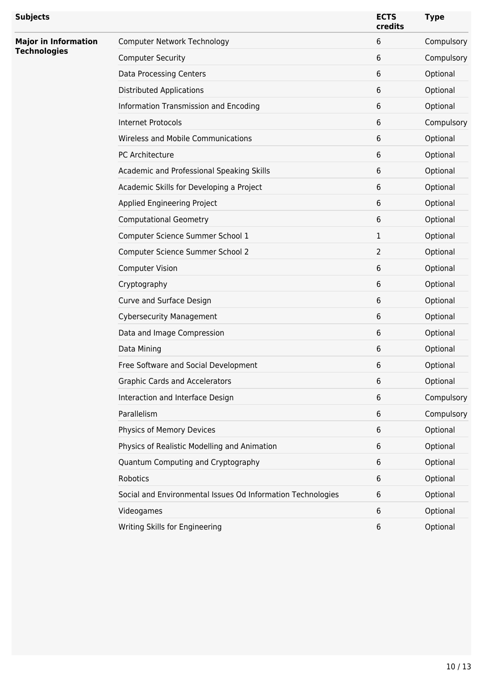| <b>Subjects</b>                                    |                                                             | <b>ECTS</b><br>credits | <b>Type</b> |
|----------------------------------------------------|-------------------------------------------------------------|------------------------|-------------|
| <b>Major in Information</b><br><b>Technologies</b> | Computer Network Technology                                 | 6                      | Compulsory  |
|                                                    | <b>Computer Security</b>                                    | 6                      | Compulsory  |
|                                                    | Data Processing Centers                                     | 6                      | Optional    |
|                                                    | <b>Distributed Applications</b>                             | 6                      | Optional    |
|                                                    | Information Transmission and Encoding                       | 6                      | Optional    |
|                                                    | <b>Internet Protocols</b>                                   | 6                      | Compulsory  |
|                                                    | Wireless and Mobile Communications                          | 6                      | Optional    |
|                                                    | PC Architecture                                             | 6                      | Optional    |
|                                                    | Academic and Professional Speaking Skills                   | 6                      | Optional    |
|                                                    | Academic Skills for Developing a Project                    | 6                      | Optional    |
|                                                    | Applied Engineering Project                                 | 6                      | Optional    |
|                                                    | <b>Computational Geometry</b>                               | 6                      | Optional    |
|                                                    | Computer Science Summer School 1                            | 1                      | Optional    |
|                                                    | Computer Science Summer School 2                            | 2                      | Optional    |
|                                                    | <b>Computer Vision</b>                                      | 6                      | Optional    |
|                                                    | Cryptography                                                | 6                      | Optional    |
|                                                    | Curve and Surface Design                                    | 6                      | Optional    |
|                                                    | <b>Cybersecurity Management</b>                             | 6                      | Optional    |
|                                                    | Data and Image Compression                                  | 6                      | Optional    |
|                                                    | Data Mining                                                 | 6                      | Optional    |
|                                                    | Free Software and Social Development                        | 6                      | Optional    |
|                                                    | <b>Graphic Cards and Accelerators</b>                       | 6                      | Optional    |
|                                                    | Interaction and Interface Design                            | 6                      | Compulsory  |
|                                                    | Parallelism                                                 | 6                      | Compulsory  |
|                                                    | Physics of Memory Devices                                   | 6                      | Optional    |
|                                                    | Physics of Realistic Modelling and Animation                | 6                      | Optional    |
|                                                    | Quantum Computing and Cryptography                          | 6                      | Optional    |
|                                                    | Robotics                                                    | 6                      | Optional    |
|                                                    | Social and Environmental Issues Od Information Technologies | 6                      | Optional    |
|                                                    | Videogames                                                  | 6                      | Optional    |
|                                                    | Writing Skills for Engineering                              | 6                      | Optional    |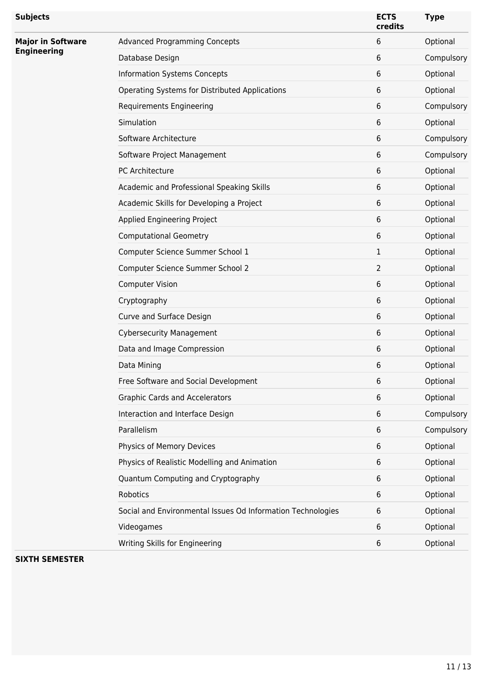| <b>Advanced Programming Concepts</b><br>6<br>Optional<br><b>Major in Software</b><br><b>Engineering</b><br>Database Design<br>6<br>Compulsory<br><b>Information Systems Concepts</b><br>6<br>Optional<br>Optional<br>Operating Systems for Distributed Applications<br>6<br>6<br>Compulsory<br><b>Requirements Engineering</b><br>Simulation<br>6<br>Optional<br>Software Architecture<br>6<br>Compulsory<br>Software Project Management<br>6<br>Compulsory<br>PC Architecture<br>6<br>Optional<br>Optional<br>Academic and Professional Speaking Skills<br>6<br>Optional<br>Academic Skills for Developing a Project<br>6<br>Applied Engineering Project<br>6<br>Optional<br>Optional<br><b>Computational Geometry</b><br>6<br>Optional<br>Computer Science Summer School 1<br>1<br>Optional<br>Computer Science Summer School 2<br>$\overline{2}$<br>6<br>Optional<br><b>Computer Vision</b><br>Optional<br>Cryptography<br>6<br>Optional<br>Curve and Surface Design<br>6<br><b>Cybersecurity Management</b><br>6<br>Optional<br>Optional<br>6<br>Data and Image Compression<br>Data Mining<br>6<br>Optional<br>Optional<br>Free Software and Social Development<br>6<br>Optional<br><b>Graphic Cards and Accelerators</b><br>6<br>Interaction and Interface Design<br>6<br>Compulsory<br>Parallelism<br>6<br>Compulsory<br>Physics of Memory Devices<br>6<br>Optional<br>Physics of Realistic Modelling and Animation<br>6<br>Optional<br>Quantum Computing and Cryptography<br>Optional<br>6<br>Robotics<br>6<br>Optional<br>Social and Environmental Issues Od Information Technologies<br>6<br>Optional<br>Optional<br>Videogames<br>6<br>Writing Skills for Engineering<br>Optional<br>6 | <b>Subjects</b> | <b>ECTS</b><br>credits | <b>Type</b> |
|--------------------------------------------------------------------------------------------------------------------------------------------------------------------------------------------------------------------------------------------------------------------------------------------------------------------------------------------------------------------------------------------------------------------------------------------------------------------------------------------------------------------------------------------------------------------------------------------------------------------------------------------------------------------------------------------------------------------------------------------------------------------------------------------------------------------------------------------------------------------------------------------------------------------------------------------------------------------------------------------------------------------------------------------------------------------------------------------------------------------------------------------------------------------------------------------------------------------------------------------------------------------------------------------------------------------------------------------------------------------------------------------------------------------------------------------------------------------------------------------------------------------------------------------------------------------------------------------------------------------------------------------------------------------------------------------------|-----------------|------------------------|-------------|
|                                                                                                                                                                                                                                                                                                                                                                                                                                                                                                                                                                                                                                                                                                                                                                                                                                                                                                                                                                                                                                                                                                                                                                                                                                                                                                                                                                                                                                                                                                                                                                                                                                                                                                  |                 |                        |             |
|                                                                                                                                                                                                                                                                                                                                                                                                                                                                                                                                                                                                                                                                                                                                                                                                                                                                                                                                                                                                                                                                                                                                                                                                                                                                                                                                                                                                                                                                                                                                                                                                                                                                                                  |                 |                        |             |
|                                                                                                                                                                                                                                                                                                                                                                                                                                                                                                                                                                                                                                                                                                                                                                                                                                                                                                                                                                                                                                                                                                                                                                                                                                                                                                                                                                                                                                                                                                                                                                                                                                                                                                  |                 |                        |             |
|                                                                                                                                                                                                                                                                                                                                                                                                                                                                                                                                                                                                                                                                                                                                                                                                                                                                                                                                                                                                                                                                                                                                                                                                                                                                                                                                                                                                                                                                                                                                                                                                                                                                                                  |                 |                        |             |
|                                                                                                                                                                                                                                                                                                                                                                                                                                                                                                                                                                                                                                                                                                                                                                                                                                                                                                                                                                                                                                                                                                                                                                                                                                                                                                                                                                                                                                                                                                                                                                                                                                                                                                  |                 |                        |             |
|                                                                                                                                                                                                                                                                                                                                                                                                                                                                                                                                                                                                                                                                                                                                                                                                                                                                                                                                                                                                                                                                                                                                                                                                                                                                                                                                                                                                                                                                                                                                                                                                                                                                                                  |                 |                        |             |
|                                                                                                                                                                                                                                                                                                                                                                                                                                                                                                                                                                                                                                                                                                                                                                                                                                                                                                                                                                                                                                                                                                                                                                                                                                                                                                                                                                                                                                                                                                                                                                                                                                                                                                  |                 |                        |             |
|                                                                                                                                                                                                                                                                                                                                                                                                                                                                                                                                                                                                                                                                                                                                                                                                                                                                                                                                                                                                                                                                                                                                                                                                                                                                                                                                                                                                                                                                                                                                                                                                                                                                                                  |                 |                        |             |
|                                                                                                                                                                                                                                                                                                                                                                                                                                                                                                                                                                                                                                                                                                                                                                                                                                                                                                                                                                                                                                                                                                                                                                                                                                                                                                                                                                                                                                                                                                                                                                                                                                                                                                  |                 |                        |             |
|                                                                                                                                                                                                                                                                                                                                                                                                                                                                                                                                                                                                                                                                                                                                                                                                                                                                                                                                                                                                                                                                                                                                                                                                                                                                                                                                                                                                                                                                                                                                                                                                                                                                                                  |                 |                        |             |
|                                                                                                                                                                                                                                                                                                                                                                                                                                                                                                                                                                                                                                                                                                                                                                                                                                                                                                                                                                                                                                                                                                                                                                                                                                                                                                                                                                                                                                                                                                                                                                                                                                                                                                  |                 |                        |             |
|                                                                                                                                                                                                                                                                                                                                                                                                                                                                                                                                                                                                                                                                                                                                                                                                                                                                                                                                                                                                                                                                                                                                                                                                                                                                                                                                                                                                                                                                                                                                                                                                                                                                                                  |                 |                        |             |
|                                                                                                                                                                                                                                                                                                                                                                                                                                                                                                                                                                                                                                                                                                                                                                                                                                                                                                                                                                                                                                                                                                                                                                                                                                                                                                                                                                                                                                                                                                                                                                                                                                                                                                  |                 |                        |             |
|                                                                                                                                                                                                                                                                                                                                                                                                                                                                                                                                                                                                                                                                                                                                                                                                                                                                                                                                                                                                                                                                                                                                                                                                                                                                                                                                                                                                                                                                                                                                                                                                                                                                                                  |                 |                        |             |
|                                                                                                                                                                                                                                                                                                                                                                                                                                                                                                                                                                                                                                                                                                                                                                                                                                                                                                                                                                                                                                                                                                                                                                                                                                                                                                                                                                                                                                                                                                                                                                                                                                                                                                  |                 |                        |             |
|                                                                                                                                                                                                                                                                                                                                                                                                                                                                                                                                                                                                                                                                                                                                                                                                                                                                                                                                                                                                                                                                                                                                                                                                                                                                                                                                                                                                                                                                                                                                                                                                                                                                                                  |                 |                        |             |
|                                                                                                                                                                                                                                                                                                                                                                                                                                                                                                                                                                                                                                                                                                                                                                                                                                                                                                                                                                                                                                                                                                                                                                                                                                                                                                                                                                                                                                                                                                                                                                                                                                                                                                  |                 |                        |             |
|                                                                                                                                                                                                                                                                                                                                                                                                                                                                                                                                                                                                                                                                                                                                                                                                                                                                                                                                                                                                                                                                                                                                                                                                                                                                                                                                                                                                                                                                                                                                                                                                                                                                                                  |                 |                        |             |
|                                                                                                                                                                                                                                                                                                                                                                                                                                                                                                                                                                                                                                                                                                                                                                                                                                                                                                                                                                                                                                                                                                                                                                                                                                                                                                                                                                                                                                                                                                                                                                                                                                                                                                  |                 |                        |             |
|                                                                                                                                                                                                                                                                                                                                                                                                                                                                                                                                                                                                                                                                                                                                                                                                                                                                                                                                                                                                                                                                                                                                                                                                                                                                                                                                                                                                                                                                                                                                                                                                                                                                                                  |                 |                        |             |
|                                                                                                                                                                                                                                                                                                                                                                                                                                                                                                                                                                                                                                                                                                                                                                                                                                                                                                                                                                                                                                                                                                                                                                                                                                                                                                                                                                                                                                                                                                                                                                                                                                                                                                  |                 |                        |             |
|                                                                                                                                                                                                                                                                                                                                                                                                                                                                                                                                                                                                                                                                                                                                                                                                                                                                                                                                                                                                                                                                                                                                                                                                                                                                                                                                                                                                                                                                                                                                                                                                                                                                                                  |                 |                        |             |
|                                                                                                                                                                                                                                                                                                                                                                                                                                                                                                                                                                                                                                                                                                                                                                                                                                                                                                                                                                                                                                                                                                                                                                                                                                                                                                                                                                                                                                                                                                                                                                                                                                                                                                  |                 |                        |             |
|                                                                                                                                                                                                                                                                                                                                                                                                                                                                                                                                                                                                                                                                                                                                                                                                                                                                                                                                                                                                                                                                                                                                                                                                                                                                                                                                                                                                                                                                                                                                                                                                                                                                                                  |                 |                        |             |
|                                                                                                                                                                                                                                                                                                                                                                                                                                                                                                                                                                                                                                                                                                                                                                                                                                                                                                                                                                                                                                                                                                                                                                                                                                                                                                                                                                                                                                                                                                                                                                                                                                                                                                  |                 |                        |             |
|                                                                                                                                                                                                                                                                                                                                                                                                                                                                                                                                                                                                                                                                                                                                                                                                                                                                                                                                                                                                                                                                                                                                                                                                                                                                                                                                                                                                                                                                                                                                                                                                                                                                                                  |                 |                        |             |
|                                                                                                                                                                                                                                                                                                                                                                                                                                                                                                                                                                                                                                                                                                                                                                                                                                                                                                                                                                                                                                                                                                                                                                                                                                                                                                                                                                                                                                                                                                                                                                                                                                                                                                  |                 |                        |             |
|                                                                                                                                                                                                                                                                                                                                                                                                                                                                                                                                                                                                                                                                                                                                                                                                                                                                                                                                                                                                                                                                                                                                                                                                                                                                                                                                                                                                                                                                                                                                                                                                                                                                                                  |                 |                        |             |
|                                                                                                                                                                                                                                                                                                                                                                                                                                                                                                                                                                                                                                                                                                                                                                                                                                                                                                                                                                                                                                                                                                                                                                                                                                                                                                                                                                                                                                                                                                                                                                                                                                                                                                  |                 |                        |             |
|                                                                                                                                                                                                                                                                                                                                                                                                                                                                                                                                                                                                                                                                                                                                                                                                                                                                                                                                                                                                                                                                                                                                                                                                                                                                                                                                                                                                                                                                                                                                                                                                                                                                                                  |                 |                        |             |
|                                                                                                                                                                                                                                                                                                                                                                                                                                                                                                                                                                                                                                                                                                                                                                                                                                                                                                                                                                                                                                                                                                                                                                                                                                                                                                                                                                                                                                                                                                                                                                                                                                                                                                  |                 |                        |             |
|                                                                                                                                                                                                                                                                                                                                                                                                                                                                                                                                                                                                                                                                                                                                                                                                                                                                                                                                                                                                                                                                                                                                                                                                                                                                                                                                                                                                                                                                                                                                                                                                                                                                                                  |                 |                        |             |

**SIXTH SEMESTER**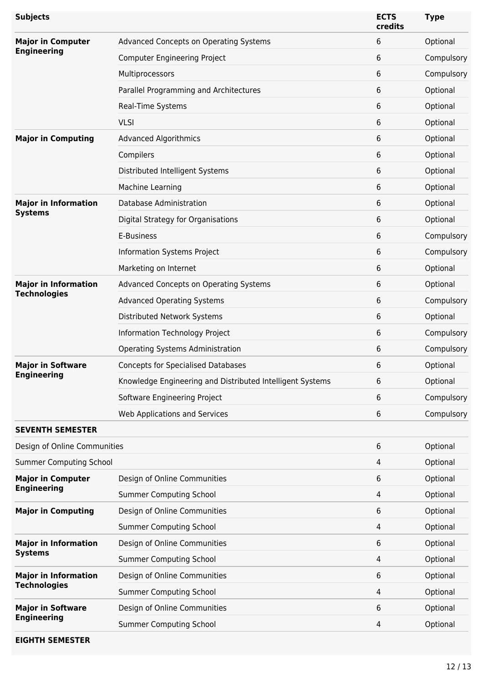| <b>Subjects</b>                |                                                           | <b>ECTS</b><br>credits | <b>Type</b> |
|--------------------------------|-----------------------------------------------------------|------------------------|-------------|
| <b>Major in Computer</b>       | Advanced Concepts on Operating Systems                    | 6                      | Optional    |
| <b>Engineering</b>             | <b>Computer Engineering Project</b>                       | 6                      | Compulsory  |
|                                | Multiprocessors                                           | 6                      | Compulsory  |
|                                | Parallel Programming and Architectures                    | 6                      | Optional    |
|                                | Real-Time Systems                                         | 6                      | Optional    |
|                                | <b>VLSI</b>                                               | 6                      | Optional    |
| <b>Major in Computing</b>      | <b>Advanced Algorithmics</b>                              | 6                      | Optional    |
|                                | Compilers                                                 | 6                      | Optional    |
|                                | Distributed Intelligent Systems                           | 6                      | Optional    |
|                                | Machine Learning                                          | 6                      | Optional    |
| <b>Major in Information</b>    | Database Administration                                   | 6                      | Optional    |
| <b>Systems</b>                 | Digital Strategy for Organisations                        | 6                      | Optional    |
|                                | E-Business                                                | 6                      | Compulsory  |
|                                | Information Systems Project                               | 6                      | Compulsory  |
|                                | Marketing on Internet                                     | 6                      | Optional    |
| <b>Major in Information</b>    | Advanced Concepts on Operating Systems                    | 6                      | Optional    |
| <b>Technologies</b>            | <b>Advanced Operating Systems</b>                         | 6                      | Compulsory  |
|                                | Distributed Network Systems                               | 6                      | Optional    |
|                                | Information Technology Project                            | 6                      | Compulsory  |
|                                | Operating Systems Administration                          | 6                      | Compulsory  |
| <b>Major in Software</b>       | <b>Concepts for Specialised Databases</b>                 | 6                      | Optional    |
| <b>Engineering</b>             | Knowledge Engineering and Distributed Intelligent Systems | 6                      | Optional    |
|                                | Software Engineering Project                              | 6                      | Compulsory  |
|                                | Web Applications and Services                             | 6                      | Compulsory  |
| <b>SEVENTH SEMESTER</b>        |                                                           |                        |             |
| Design of Online Communities   |                                                           | 6                      | Optional    |
| <b>Summer Computing School</b> |                                                           | 4                      | Optional    |
| <b>Major in Computer</b>       | Design of Online Communities                              | 6                      | Optional    |
| <b>Engineering</b>             | <b>Summer Computing School</b>                            | 4                      | Optional    |
| <b>Major in Computing</b>      | Design of Online Communities                              | 6                      | Optional    |
|                                | <b>Summer Computing School</b>                            | 4                      | Optional    |
| <b>Major in Information</b>    | Design of Online Communities                              | 6                      | Optional    |
| <b>Systems</b>                 | <b>Summer Computing School</b>                            | 4                      | Optional    |
| <b>Major in Information</b>    | Design of Online Communities                              | 6                      | Optional    |
| <b>Technologies</b>            | <b>Summer Computing School</b>                            | 4                      | Optional    |
| <b>Major in Software</b>       | Design of Online Communities                              | 6                      | Optional    |
| <b>Engineering</b>             | <b>Summer Computing School</b>                            | 4                      | Optional    |
|                                |                                                           |                        |             |

# **EIGHTH SEMESTER**